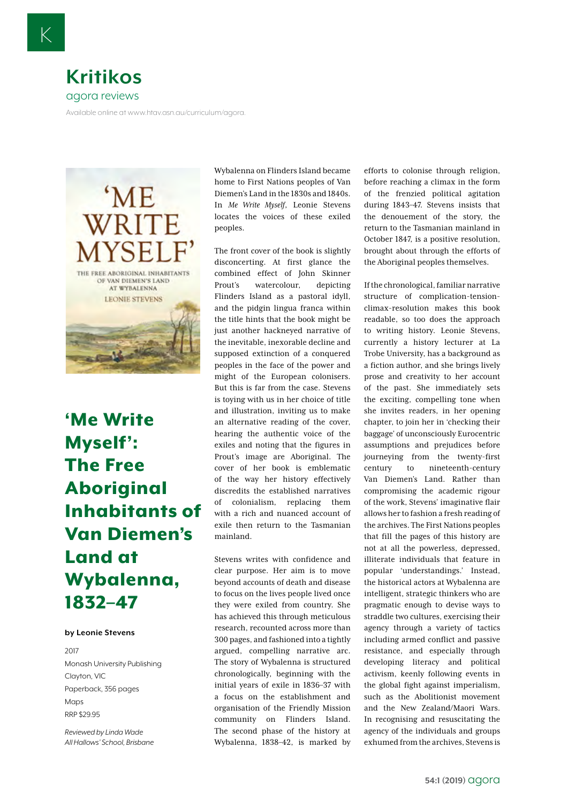

Available online at www.htav.asn.au/curriculum/agora.



['Me Write](https://www.booktopia.com.au/-me-write-myself--leonie-stevens/prod9781925495638.html)  [Myself':](https://www.booktopia.com.au/-me-write-myself--leonie-stevens/prod9781925495638.html)  [The Free](https://www.booktopia.com.au/-me-write-myself--leonie-stevens/prod9781925495638.html)  [Aboriginal](https://www.booktopia.com.au/-me-write-myself--leonie-stevens/prod9781925495638.html)  [Inhabitants of](https://www.booktopia.com.au/-me-write-myself--leonie-stevens/prod9781925495638.html)  [Van Diemen's](https://www.booktopia.com.au/-me-write-myself--leonie-stevens/prod9781925495638.html)  [Land at](https://www.booktopia.com.au/-me-write-myself--leonie-stevens/prod9781925495638.html)  [Wybalenna,](https://www.booktopia.com.au/-me-write-myself--leonie-stevens/prod9781925495638.html)  [1832–47](https://www.booktopia.com.au/-me-write-myself--leonie-stevens/prod9781925495638.html)

## **by Leonie Stevens**

2017 Monash University Publishing Clayton, VIC Paperback, 356 pages Maps RRP \$29.95

*Reviewed by Linda Wade All Hallows' School, Brisbane* Wybalenna on Flinders Island became home to First Nations peoples of Van Diemen's Land in the 1830s and 1840s. In *Me Write Myself*, Leonie Stevens locates the voices of these exiled peoples.

The front cover of the book is slightly disconcerting. At first glance the combined effect of John Skinner Prout's watercolour, depicting Flinders Island as a pastoral idyll, and the pidgin lingua franca within the title hints that the book might be just another hackneyed narrative of the inevitable, inexorable decline and supposed extinction of a conquered peoples in the face of the power and might of the European colonisers. But this is far from the case. Stevens is toying with us in her choice of title and illustration, inviting us to make an alternative reading of the cover, hearing the authentic voice of the exiles and noting that the figures in Prout's image are Aboriginal. The cover of her book is emblematic of the way her history effectively discredits the established narratives of colonialism, replacing them with a rich and nuanced account of exile then return to the Tasmanian mainland.

Stevens writes with confidence and clear purpose. Her aim is to move beyond accounts of death and disease to focus on the lives people lived once they were exiled from country. She has achieved this through meticulous research, recounted across more than 300 pages, and fashioned into a tightly argued, compelling narrative arc. The story of Wybalenna is structured chronologically, beginning with the initial years of exile in 1836–37 with a focus on the establishment and organisation of the Friendly Mission community on Flinders Island. The second phase of the history at Wybalenna, 1838–42, is marked by efforts to colonise through religion, before reaching a climax in the form of the frenzied political agitation during 1843–47. Stevens insists that the denouement of the story, the return to the Tasmanian mainland in October 1847, is a positive resolution, brought about through the efforts of the Aboriginal peoples themselves.

If the chronological, familiar narrative structure of complication-tensionclimax-resolution makes this book readable, so too does the approach to writing history. Leonie Stevens, currently a history lecturer at La Trobe University, has a background as a fiction author, and she brings lively prose and creativity to her account of the past. She immediately sets the exciting, compelling tone when she invites readers, in her opening chapter, to join her in 'checking their baggage' of unconsciously Eurocentric assumptions and prejudices before journeying from the twenty-first century to nineteenth-century Van Diemen's Land. Rather than compromising the academic rigour of the work, Stevens' imaginative flair allows her to fashion a fresh reading of the archives. The First Nations peoples that fill the pages of this history are not at all the powerless, depressed, illiterate individuals that feature in popular 'understandings.' Instead, the historical actors at Wybalenna are intelligent, strategic thinkers who are pragmatic enough to devise ways to straddle two cultures, exercising their agency through a variety of tactics including armed conflict and passive resistance, and especially through developing literacy and political activism, keenly following events in the global fight against imperialism, such as the Abolitionist movement and the New Zealand/Maori Wars. In recognising and resuscitating the agency of the individuals and groups exhumed from the archives, Stevens is